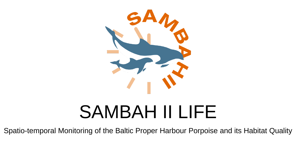

# SAMBAH II LIFE

Spatio-temporal Monitoring of the Baltic Proper Harbour Porpoise and its Habitat Quality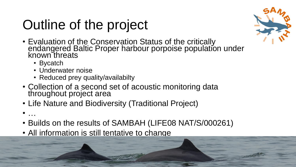# Outline of the project

- 
- Evaluation of the Conservation Status of the critically endangered Baltic Proper harbour porpoise population under known threats
	- Bycatch
	- Underwater noise
	- Reduced prey quality/availabilty
- Collection of a second set of acoustic monitoring data throughout project area
- Life Nature and Biodiversity (Traditional Project)
- …
- Builds on the results of SAMBAH (LIFE08 NAT/S/000261)
- All information is still tentative to change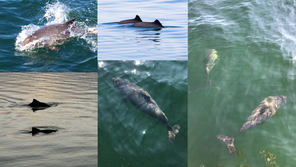





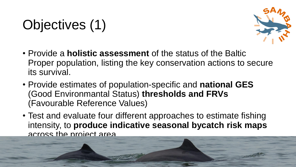# Objectives (1)

**behaviour**.



- Provide a **holistic assessment** of the status of the Baltic Proper population, listing the key conservation actions to secure its survival.
- Provide estimates of population-specific and **national GES**  (Good Environmantal Status) **thresholds and FRVs** (Favourable Reference Values)
- Test and evaluate four different approaches to estimate fishing intensity, to **produce indicative seasonal bycatch risk maps**  across the project area.

**quantity and quality on porpoise density and echolocation** 

• Provide knowledge on the **spatio-temporal impact of prey**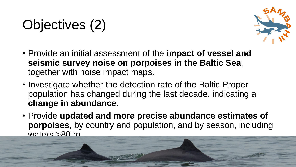# Objectives (2)

area.



- Provide an initial assessment of the **impact of vessel and seismic survey noise on porpoises in the Baltic Sea**, together with noise impact maps.
- Investigate whether the detection rate of the Baltic Proper population has changed during the last decade, indicating a **change in abundance**.
- Provide **updated and more precise abundance estimates of porpoises**, by country and population, and by season, including waters >80 m

• Provide **monthly maps of porpoise density** across the project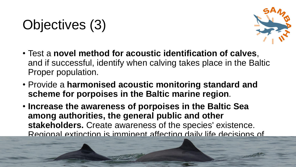## Objectives (3)



- Test a **novel method for acoustic identification of calves**, and if successful, identify when calving takes place in the Baltic Proper population.
- Provide a **harmonised acoustic monitoring standard and scheme for porpoises in the Baltic marine region**.
- **Increase the awareness of porpoises in the Baltic Sea among authorities, the general public and other stakeholders.** Create awareness of the species' existence. Regional extinction is imminent affecting daily life decisions of

the general public and political decisions.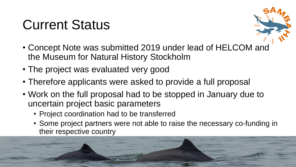### Current Status



- Concept Note was submitted 2019 under lead of HELCOM and the Museum for Natural History Stockholm
- The project was evaluated very good
- Therefore applicants were asked to provide a full proposal
- Work on the full proposal had to be stopped in January due to uncertain project basic parameters
	- Project coordination had to be transferred
	- Some project partners were not able to raise the necessary co-funding in their respective country

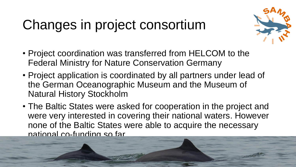## Changes in project consortium



- Project coordination was transferred from HELCOM to the Federal Ministry for Nature Conservation Germany
- Project application is coordinated by all partners under lead of the German Oceanographic Museum and the Museum of Natural History Stockholm
- The Baltic States were asked for cooperation in the project and were very interested in covering their national waters. However none of the Baltic States were able to acquire the necessary national co-funding so far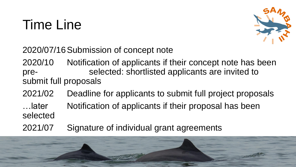#### Time Line



2020/07/16Submission of concept note

- 2020/10 Notification of applicants if their concept note has been pre- selected: shortlisted applicants are invited to submit full proposals
- 2021/02 Deadline for applicants to submit full project proposals ... later Notification of applicants if their proposal has been selected
- 2021/07 Signature of individual grant agreements

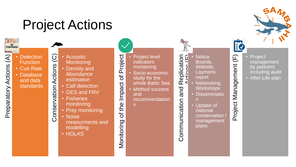#### Project Actions



• Detection **Function** • Cue Rate • Database and data

standards

- $\bigodot$ Conservation Actions (C) Actions Conservation
- Acoustic **Monitoring** • Density and Abundance estimation • Calf detection • GES and FRV • Fisheries monitoring • Prey monitoring • Noise
- measurments and modelling • HOLAS
- Project Monitoring of the Impact of Project  $\overline{d}$ of the Impact Monitoring
	- Project level<br>
	indicators<br>
	monitoring<br>
	 Socio-econd<br>
	study for the<br>
	whole Baltic indicators monitoring • Socio-economic study for the whole Baltic Sea Method success and recommendation s
- Replication Communication and Replication and Communication
	- **Notice** Boards, Website, **Laymens** report Networking, **Workshops** • Disseminatio n • Update of national conservation / management plans
- EO **Project** management by partners including audit • After-Life plan

Project Management (F)

Project

Management

 $\begin{array}{c} \widehat{\mathbb{F}} \end{array}$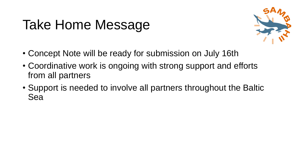### Take Home Message



- Concept Note will be ready for submission on July 16th
- Coordinative work is ongoing with strong support and efforts from all partners
- Support is needed to involve all partners throughout the Baltic Sea